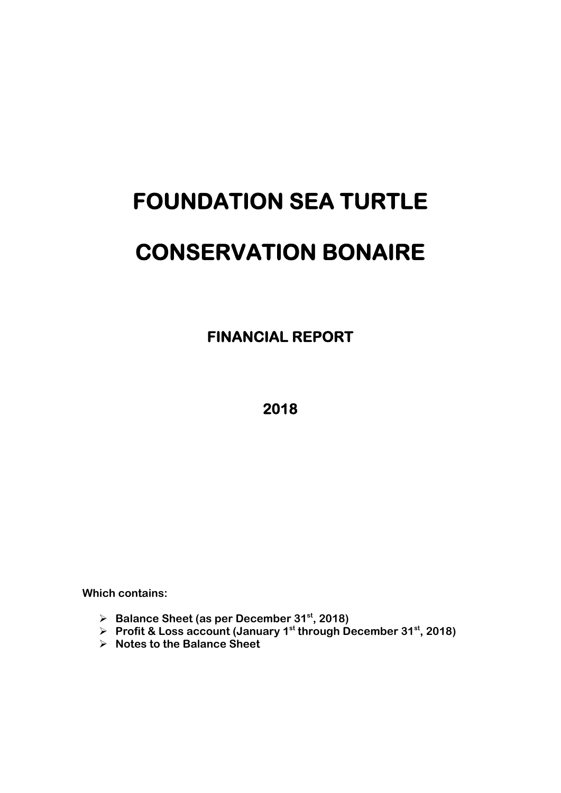# **FOUNDATION SEA TURTLE CONSERVATION BONAIRE**

 **FINANCIAL REPORT** 

**2018** 

**Which contains:** 

- **Balance Sheet (as per December 31st, 2018)**
- **Profit & Loss account (January 1st through December 31st, 2018)**
- **Notes to the Balance Sheet**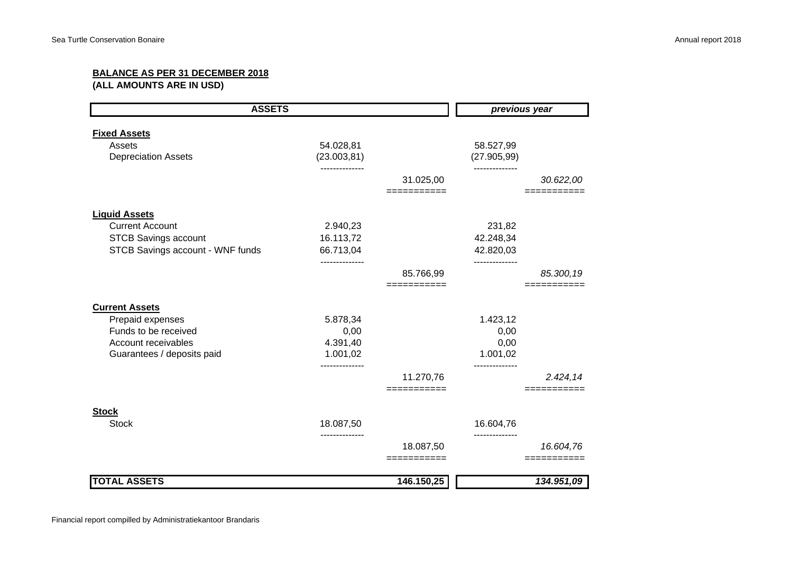# **BALANCE AS PER 31 DECEMBER 2018**

**(ALL AMOUNTS ARE IN USD)**

|                                  | <b>ASSETS</b>              |                          |                           | previous year |  |  |
|----------------------------------|----------------------------|--------------------------|---------------------------|---------------|--|--|
| <b>Fixed Assets</b>              |                            |                          |                           |               |  |  |
| Assets                           | 54.028,81                  |                          | 58.527,99                 |               |  |  |
| <b>Depreciation Assets</b>       | (23.003, 81)               |                          | (27.905, 99)              |               |  |  |
|                                  | .                          |                          |                           |               |  |  |
|                                  |                            | 31.025,00                |                           | 30.622,00     |  |  |
|                                  |                            | ===========              |                           |               |  |  |
| <b>Liquid Assets</b>             |                            |                          |                           |               |  |  |
| <b>Current Account</b>           | 2.940,23                   |                          | 231,82                    |               |  |  |
| <b>STCB Savings account</b>      | 16.113,72                  |                          | 42.248,34                 |               |  |  |
| STCB Savings account - WNF funds | 66.713,04                  |                          | 42.820,03                 |               |  |  |
|                                  | ------------               |                          | ---------                 |               |  |  |
|                                  |                            | 85.766,99                |                           | 85.300,19     |  |  |
|                                  |                            | ===========              |                           |               |  |  |
| <b>Current Assets</b>            |                            |                          |                           |               |  |  |
| Prepaid expenses                 | 5.878,34                   |                          | 1.423,12                  |               |  |  |
| Funds to be received             | 0,00                       |                          | 0,00                      |               |  |  |
| Account receivables              | 4.391,40                   |                          | 0,00                      |               |  |  |
| Guarantees / deposits paid       | 1.001,02                   |                          | 1.001,02                  |               |  |  |
|                                  |                            | 11.270,76                |                           | 2.424,14      |  |  |
|                                  |                            | ===========              |                           |               |  |  |
|                                  |                            |                          |                           |               |  |  |
| <b>Stock</b>                     |                            |                          |                           |               |  |  |
| <b>Stock</b>                     | 18.087,50<br>------------- |                          | 16.604,76<br>------------ |               |  |  |
|                                  |                            | 18.087,50<br>=========== |                           | 16.604,76     |  |  |
|                                  |                            |                          |                           |               |  |  |
| <b>TOTAL ASSETS</b>              |                            | 146.150,25               |                           | 134.951,09    |  |  |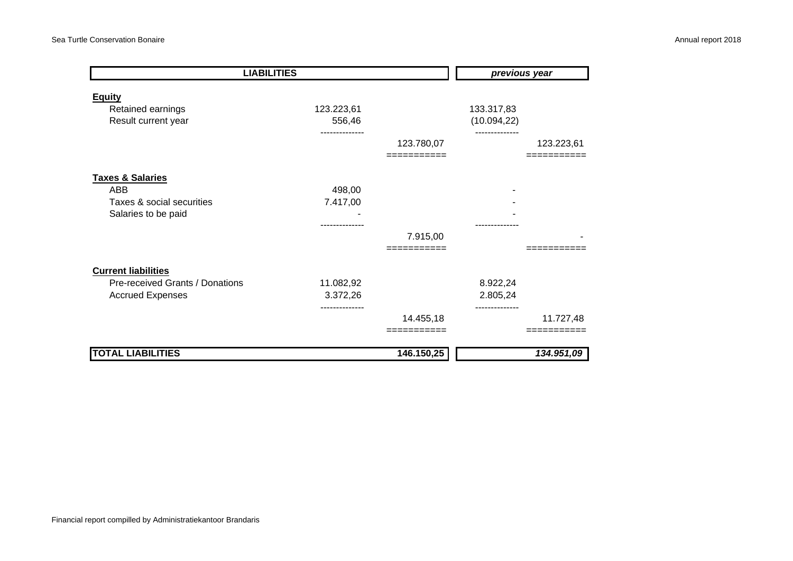| <b>LIABILITIES</b>              |               |            | previous year |            |  |
|---------------------------------|---------------|------------|---------------|------------|--|
| <b>Equity</b>                   |               |            |               |            |  |
| Retained earnings               | 123.223,61    |            | 133.317,83    |            |  |
| Result current year             | 556,46        |            | (10.094, 22)  |            |  |
|                                 |               | 123.780,07 |               | 123.223,61 |  |
|                                 |               | :========= |               |            |  |
| <b>Taxes &amp; Salaries</b>     |               |            |               |            |  |
| ABB                             | 498,00        |            |               |            |  |
| Taxes & social securities       | 7.417,00      |            |               |            |  |
| Salaries to be paid             |               |            |               |            |  |
|                                 |               |            |               |            |  |
|                                 |               | 7.915,00   |               |            |  |
|                                 |               | =========  |               |            |  |
| <b>Current liabilities</b>      |               |            |               |            |  |
| Pre-received Grants / Donations | 11.082,92     |            | 8.922,24      |            |  |
| <b>Accrued Expenses</b>         | 3.372,26      |            | 2.805,24      |            |  |
|                                 | ------------- | 14.455,18  |               | 11.727,48  |  |
|                                 |               | ========   |               |            |  |
|                                 |               |            |               |            |  |
| <b>TOTAL LIABILITIES</b>        |               | 146.150,25 |               | 134.951,09 |  |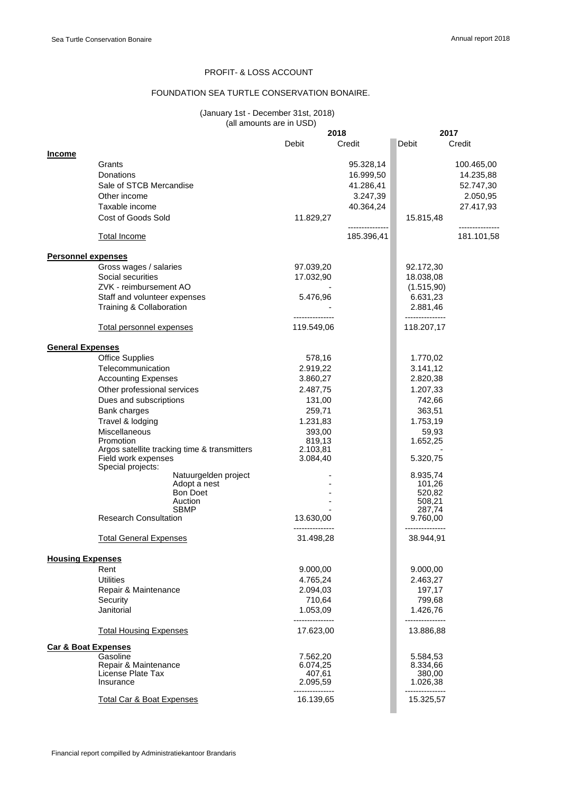# PROFIT- & LOSS ACCOUNT

# FOUNDATION SEA TURTLE CONSERVATION BONAIRE.

#### (January 1st - December 31st, 2018) (all amounts are in USD)

|                                |                                                                                          |                              | 2018       | 2017                          |            |
|--------------------------------|------------------------------------------------------------------------------------------|------------------------------|------------|-------------------------------|------------|
|                                |                                                                                          | Debit                        | Credit     | Debit                         | Credit     |
| <b>Income</b>                  |                                                                                          |                              |            |                               |            |
|                                | Grants                                                                                   |                              | 95.328,14  |                               | 100.465,00 |
|                                | Donations                                                                                |                              | 16.999,50  |                               | 14.235,88  |
|                                | Sale of STCB Mercandise                                                                  |                              |            |                               |            |
|                                |                                                                                          |                              | 41.286,41  |                               | 52.747,30  |
|                                | Other income                                                                             |                              | 3.247,39   |                               | 2.050,95   |
|                                | Taxable income                                                                           |                              | 40.364,24  |                               | 27.417,93  |
|                                | Cost of Goods Sold                                                                       | 11.829,27                    |            | 15.815,48                     |            |
|                                | <b>Total Income</b>                                                                      |                              | 185.396,41 |                               | 181.101,58 |
| <b>Personnel expenses</b>      |                                                                                          |                              |            |                               |            |
|                                | Gross wages / salaries                                                                   | 97.039,20                    |            | 92.172,30                     |            |
|                                | Social securities                                                                        | 17.032,90                    |            | 18.038,08                     |            |
|                                | ZVK - reimbursement AO                                                                   |                              |            | (1.515, 90)                   |            |
|                                | Staff and volunteer expenses                                                             | 5.476,96                     |            | 6.631,23                      |            |
|                                | Training & Collaboration                                                                 |                              |            | 2.881,46                      |            |
|                                | <b>Total personnel expenses</b>                                                          | 119.549,06                   |            | 118.207,17                    |            |
| <b>General Expenses</b>        |                                                                                          |                              |            |                               |            |
|                                | <b>Office Supplies</b>                                                                   | 578,16                       |            | 1.770,02                      |            |
|                                |                                                                                          |                              |            |                               |            |
|                                | Telecommunication                                                                        | 2.919,22                     |            | 3.141,12                      |            |
|                                | <b>Accounting Expenses</b>                                                               | 3.860,27                     |            | 2.820,38                      |            |
|                                | Other professional services                                                              | 2.487,75                     |            | 1.207,33                      |            |
|                                | Dues and subscriptions                                                                   | 131,00                       |            | 742,66                        |            |
|                                | Bank charges                                                                             | 259,71                       |            | 363,51                        |            |
|                                | Travel & lodging                                                                         | 1.231,83                     |            | 1.753,19                      |            |
|                                | <b>Miscellaneous</b>                                                                     | 393,00                       |            | 59,93                         |            |
|                                | Promotion                                                                                | 819,13                       |            | 1.652,25                      |            |
|                                | Argos satellite tracking time & transmitters<br>Field work expenses<br>Special projects: | 2.103,81<br>3.084,40         |            | 5.320,75                      |            |
|                                | Natuurgelden project                                                                     |                              |            | 8.935,74                      |            |
|                                | Adopt a nest                                                                             |                              |            | 101,26                        |            |
|                                | Bon Doet                                                                                 |                              |            | 520,82                        |            |
|                                | Auction                                                                                  |                              |            | 508,21                        |            |
|                                | <b>SBMP</b><br><b>Research Consultation</b>                                              |                              |            | 287,74                        |            |
|                                |                                                                                          | 13.630,00                    |            | 9.760,00                      |            |
|                                | <b>Total General Expenses</b>                                                            | 31.498,28                    |            | 38.944,91                     |            |
| <b>Housing Expenses</b>        |                                                                                          |                              |            |                               |            |
|                                | Rent                                                                                     | 9.000,00                     |            | 9.000,00                      |            |
|                                | <b>Utilities</b>                                                                         | 4.765,24                     |            | 2.463,27                      |            |
|                                | Repair & Maintenance                                                                     | 2.094,03                     |            | 197,17                        |            |
|                                | Security                                                                                 | 710,64                       |            | 799,68                        |            |
|                                | Janitorial                                                                               | 1.053,09                     |            | 1.426,76                      |            |
|                                | <b>Total Housing Expenses</b>                                                            | ---------------<br>17.623,00 |            | ----------------<br>13.886,88 |            |
| <b>Car &amp; Boat Expenses</b> |                                                                                          |                              |            |                               |            |
|                                | Gasoline                                                                                 | 7.562,20                     |            | 5.584,53                      |            |
|                                | Repair & Maintenance                                                                     | 6.074,25                     |            | 8.334,66                      |            |
|                                | License Plate Tax                                                                        | 407,61                       |            | 380,00                        |            |
|                                | Insurance                                                                                | 2.095,59                     |            | 1.026,38                      |            |
|                                | <b>Total Car &amp; Boat Expenses</b>                                                     | 16.139,65                    |            | 15.325,57                     |            |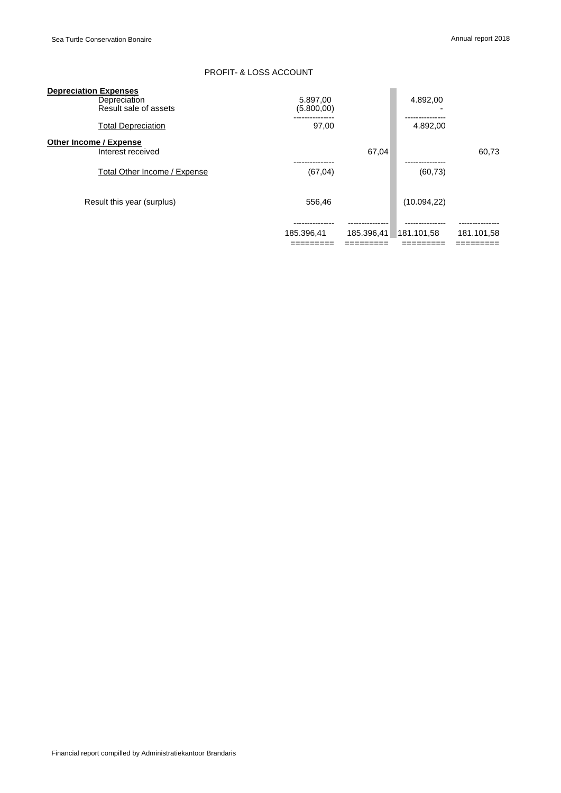# PROFIT- & LOSS ACCOUNT

| <b>Depreciation Expenses</b> |                              |            |            |              |            |
|------------------------------|------------------------------|------------|------------|--------------|------------|
|                              | Depreciation                 | 5.897,00   |            | 4.892,00     |            |
|                              | Result sale of assets        | (5.800,00) |            |              |            |
|                              | <b>Total Depreciation</b>    | 97,00      |            | 4.892,00     |            |
| Other Income / Expense       |                              |            |            |              |            |
|                              | Interest received            |            | 67.04      |              | 60.73      |
|                              |                              |            |            |              |            |
|                              | Total Other Income / Expense | (67, 04)   |            | (60, 73)     |            |
|                              |                              |            |            |              |            |
|                              | Result this year (surplus)   | 556.46     |            | (10.094, 22) |            |
|                              |                              |            |            |              |            |
|                              |                              |            |            |              |            |
|                              |                              | 185.396,41 | 185.396,41 | 181.101.58   | 181.101,58 |
|                              |                              |            |            |              |            |